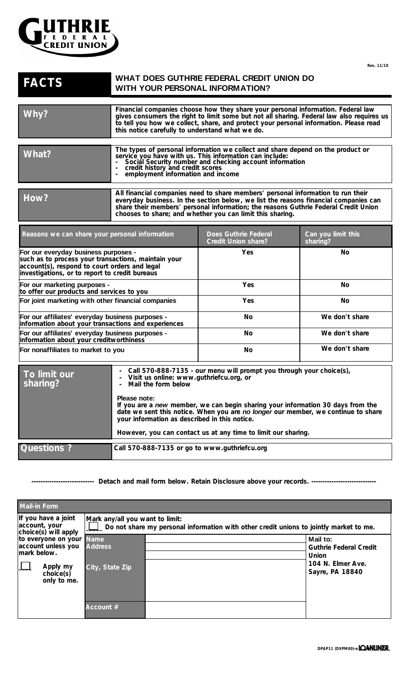

**Rev. 11/10** 

## **WHAT DOES GUTHRIE FEDERAL CREDIT UNION DO FACTS** WHAT DOES GUTHRIE FEDERAL CREDIT WITH YOUR PERSONAL INFORMATION?

| Why?                                                                                                                                                                                           | Financial companies choose how they share your personal information. Federal law<br>gives consumers the right to limit some but not all sharing. Federal law also requires us<br>to tell you how we collect, share, and protect your personal information. Please read<br>this notice carefully to understand what we do.                                                                                                                        |                                                    |                                |
|------------------------------------------------------------------------------------------------------------------------------------------------------------------------------------------------|--------------------------------------------------------------------------------------------------------------------------------------------------------------------------------------------------------------------------------------------------------------------------------------------------------------------------------------------------------------------------------------------------------------------------------------------------|----------------------------------------------------|--------------------------------|
| What?                                                                                                                                                                                          | The types of personal information we collect and share depend on the product or<br>service you have with us. This information can include:<br>Social Security number and checking account information<br>credit history and credit scores<br>employment information and income                                                                                                                                                                   |                                                    |                                |
| How?                                                                                                                                                                                           | All financial companies need to share members' personal information to run their<br>everyday business. In the section below, we list the reasons financial companies can<br>share their members' personal information; the reasons Guthrie Federal Credit Union<br>chooses to share; and whether you can limit this sharing.                                                                                                                     |                                                    |                                |
| Reasons we can share your personal information                                                                                                                                                 |                                                                                                                                                                                                                                                                                                                                                                                                                                                  | Does Guthrie Federal<br><b>Credit Union share?</b> | Can you limit this<br>sharing? |
| For our everyday business purposes -<br>such as to process your transactions, maintain your<br>account(s), respond to court orders and legal<br>investigations, or to report to credit bureaus |                                                                                                                                                                                                                                                                                                                                                                                                                                                  | <b>Yes</b>                                         | No.                            |
| For our marketing purposes -<br>to offer our products and services to you                                                                                                                      |                                                                                                                                                                                                                                                                                                                                                                                                                                                  | Yes                                                | No.                            |
| For joint marketing with other financial companies                                                                                                                                             |                                                                                                                                                                                                                                                                                                                                                                                                                                                  | Yes                                                | No                             |
| For our affiliates' everyday business purposes -<br>information about your transactions and experiences                                                                                        |                                                                                                                                                                                                                                                                                                                                                                                                                                                  | No                                                 | We don't share                 |
| For our affiliates' everyday business purposes -<br>information about your creditworthiness                                                                                                    |                                                                                                                                                                                                                                                                                                                                                                                                                                                  | No                                                 | We don't share                 |
| For nonaffiliates to market to you                                                                                                                                                             |                                                                                                                                                                                                                                                                                                                                                                                                                                                  | No                                                 | We don't share                 |
| To limit our<br>sharing?                                                                                                                                                                       | Call 570-888-7135 - our menu will prompt you through your choice(s),<br>Visit us online: www.guthriefcu.org, or<br>Mail the form below<br>Please note:<br>If you are a new member, we can begin sharing your information 30 days from the<br>date we sent this notice. When you are no longer our member, we continue to share<br>your information as described in this notice.<br>However, you can contact us at any time to limit our sharing. |                                                    |                                |
| Questions ?                                                                                                                                                                                    | Call 570-888-7135 or go to www.guthriefcu.org                                                                                                                                                                                                                                                                                                                                                                                                    |                                                    |                                |

**---------------------------- Detach and mail form below. Retain Disclosure above your records. -----------------------------**

| <b>Mail-in Form</b>                                                                                   |                                                                                                                             |  |                                                                                            |  |
|-------------------------------------------------------------------------------------------------------|-----------------------------------------------------------------------------------------------------------------------------|--|--------------------------------------------------------------------------------------------|--|
| If you have a joint<br>account, your<br>choice(s) will apply                                          | Mark any/all you want to limit:<br>. Do not share my personal information with other credit unions to jointly market to me. |  |                                                                                            |  |
| to everyone on your Name<br>account unless you<br>mark below.<br>Apply my<br>choice(s)<br>only to me. | <b>Address</b><br>City, State Zip                                                                                           |  | Mail to:<br><b>Guthrie Federal Credit</b><br>Union<br>104 N. Elmer Ave.<br>Sayre, PA 18840 |  |
|                                                                                                       | Account #                                                                                                                   |  |                                                                                            |  |